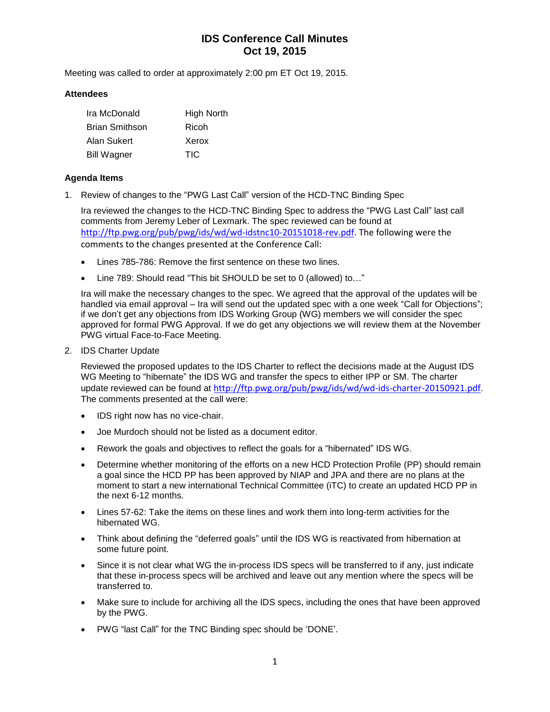# **IDS Conference Call Minutes Oct 19, 2015**

Meeting was called to order at approximately 2:00 pm ET Oct 19, 2015.

#### **Attendees**

| Ira McDonald          | <b>High North</b> |
|-----------------------|-------------------|
| <b>Brian Smithson</b> | Ricoh             |
| Alan Sukert           | Xerox             |
| <b>Bill Wagner</b>    | TIC               |

#### **Agenda Items**

1. Review of changes to the "PWG Last Call" version of the HCD-TNC Binding Spec

Ira reviewed the changes to the HCD-TNC Binding Spec to address the "PWG Last Call" last call comments from Jeremy Leber of Lexmark. The spec reviewed can be found at [http://ftp.pwg.org/pub/pwg/ids/wd/wd-idstnc10-20151018-rev.pdf.](http://ftp.pwg.org/pub/pwg/ids/wd/wd-idstnc10-20151018-rev.pdf) The following were the comments to the changes presented at the Conference Call:

- Lines 785-786: Remove the first sentence on these two lines.
- Line 789: Should read "This bit SHOULD be set to 0 (allowed) to…"

Ira will make the necessary changes to the spec. We agreed that the approval of the updates will be handled via email approval - Ira will send out the updated spec with a one week "Call for Objections"; if we don't get any objections from IDS Working Group (WG) members we will consider the spec approved for formal PWG Approval. If we do get any objections we will review them at the November PWG virtual Face-to-Face Meeting.

2. IDS Charter Update

Reviewed the proposed updates to the IDS Charter to reflect the decisions made at the August IDS WG Meeting to "hibernate" the IDS WG and transfer the specs to either IPP or SM. The charter update reviewed can be found at <http://ftp.pwg.org/pub/pwg/ids/wd/wd-ids-charter-20150921.pdf>. The comments presented at the call were:

- IDS right now has no vice-chair.
- Joe Murdoch should not be listed as a document editor.
- Rework the goals and objectives to reflect the goals for a "hibernated" IDS WG.
- Determine whether monitoring of the efforts on a new HCD Protection Profile (PP) should remain a goal since the HCD PP has been approved by NIAP and JPA and there are no plans at the moment to start a new international Technical Committee (iTC) to create an updated HCD PP in the next 6-12 months.
- Lines 57-62: Take the items on these lines and work them into long-term activities for the hibernated WG.
- Think about defining the "deferred goals" until the IDS WG is reactivated from hibernation at some future point.
- Since it is not clear what WG the in-process IDS specs will be transferred to if any, just indicate that these in-process specs will be archived and leave out any mention where the specs will be transferred to.
- Make sure to include for archiving all the IDS specs, including the ones that have been approved by the PWG.
- PWG "last Call" for the TNC Binding spec should be 'DONE'.